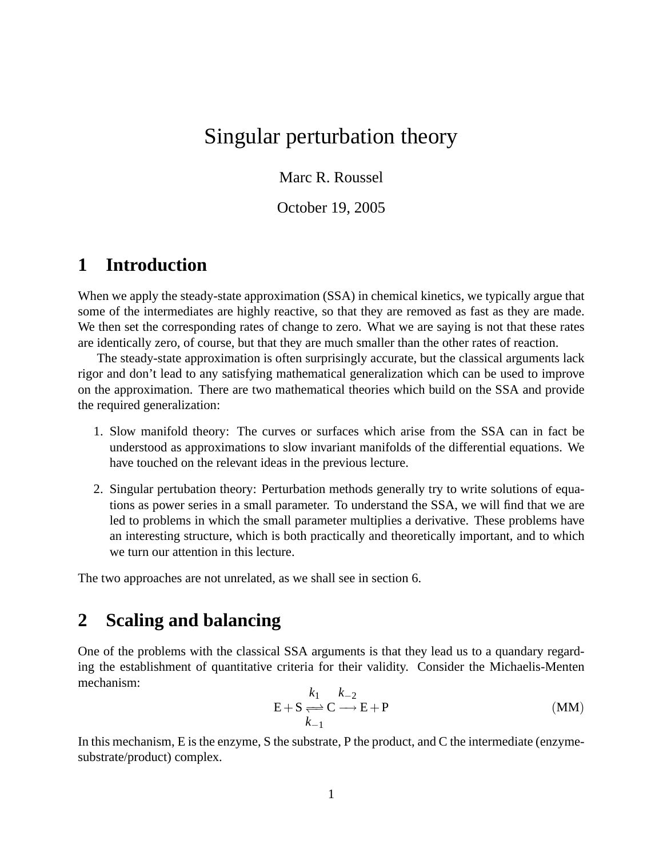## Singular perturbation theory

Marc R. Roussel

October 19, 2005

## **1 Introduction**

When we apply the steady-state approximation (SSA) in chemical kinetics, we typically argue that some of the intermediates are highly reactive, so that they are removed as fast as they are made. We then set the corresponding rates of change to zero. What we are saying is not that these rates are identically zero, of course, but that they are much smaller than the other rates of reaction.

The steady-state approximation is often surprisingly accurate, but the classical arguments lack rigor and don't lead to any satisfying mathematical generalization which can be used to improve on the approximation. There are two mathematical theories which build on the SSA and provide the required generalization:

- 1. Slow manifold theory: The curves or surfaces which arise from the SSA can in fact be understood as approximations to slow invariant manifolds of the differential equations. We have touched on the relevant ideas in the previous lecture.
- 2. Singular pertubation theory: Perturbation methods generally try to write solutions of equations as power series in a small parameter. To understand the SSA, we will find that we are led to problems in which the small parameter multiplies a derivative. These problems have an interesting structure, which is both practically and theoretically important, and to which we turn our attention in this lecture.

The two approaches are not unrelated, as we shall see in section 6.

### **2 Scaling and balancing**

One of the problems with the classical SSA arguments is that they lead us to a quandary regarding the establishment of quantitative criteria for their validity. Consider the Michaelis-Menten mechanism:

$$
E + S \underset{k=1}{\Longleftrightarrow} C \underset{l=1}{\longrightarrow} E + P \tag{MM}
$$

In this mechanism, E is the enzyme, S the substrate, P the product, and C the intermediate (enzymesubstrate/product) complex.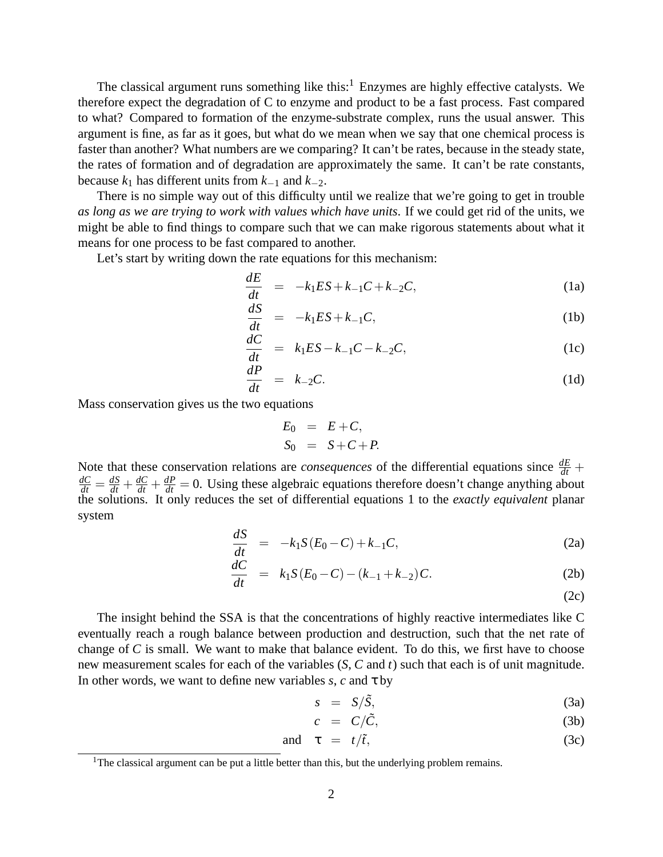The classical argument runs something like this: $<sup>1</sup>$  Enzymes are highly effective catalysts. We</sup> therefore expect the degradation of C to enzyme and product to be a fast process. Fast compared to what? Compared to formation of the enzyme-substrate complex, runs the usual answer. This argument is fine, as far as it goes, but what do we mean when we say that one chemical process is faster than another? What numbers are we comparing? It can't be rates, because in the steady state, the rates of formation and of degradation are approximately the same. It can't be rate constants, because  $k_1$  has different units from  $k_{-1}$  and  $k_{-2}$ .

There is no simple way out of this difficulty until we realize that we're going to get in trouble *as long as we are trying to work with values which have units*. If we could get rid of the units, we might be able to find things to compare such that we can make rigorous statements about what it means for one process to be fast compared to another.

Let's start by writing down the rate equations for this mechanism:

$$
\frac{dE}{dt} = -k_1 ES + k_{-1} C + k_{-2} C, \tag{1a}
$$

$$
\frac{dS}{dt} = -k_1 ES + k_{-1} C, \tag{1b}
$$

$$
\frac{dC}{dt} = k_1 ES - k_{-1}C - k_{-2}C, \tag{1c}
$$

$$
\frac{dP}{dt} = k_{-2}C.
$$
\n(1d)

Mass conservation gives us the two equations

$$
E_0 = E + C,
$$
  
\n
$$
S_0 = S + C + P.
$$

Note that these conservation relations are *consequences* of the differential equations since  $\frac{dE}{dt}$  +  $\frac{dC}{dt} = \frac{dS}{dt} + \frac{dC}{dt} + \frac{dP}{dt} = 0$ . Using these algebraic equations therefore doesn't change anything about the solutions. It only reduces the set of differential equations 1 to the *exactly equivalent* planar system

$$
\frac{dS}{dt} = -k_1 S(E_0 - C) + k_{-1} C,
$$
\n(2a)

$$
\frac{dC}{dt} = k_1 S(E_0 - C) - (k_{-1} + k_{-2})C.
$$
\n(2b)

(2c)

The insight behind the SSA is that the concentrations of highly reactive intermediates like C eventually reach a rough balance between production and destruction, such that the net rate of change of *C* is small. We want to make that balance evident. To do this, we first have to choose new measurement scales for each of the variables (*S*, *C* and *t*) such that each is of unit magnitude. In other words, we want to define new variables  $s$ ,  $c$  and  $\tau$  by

$$
s = S/\tilde{S}, \tag{3a}
$$

$$
c = C/\tilde{C}, \qquad (3b)
$$

and 
$$
\tau = t/\tilde{t}
$$
, (3c)

<sup>&</sup>lt;sup>1</sup>The classical argument can be put a little better than this, but the underlying problem remains.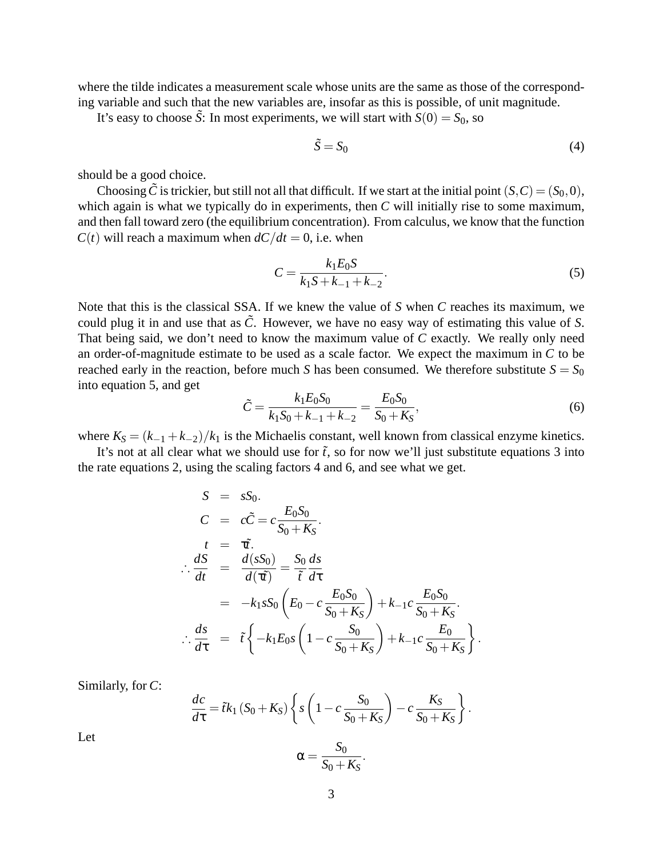where the tilde indicates a measurement scale whose units are the same as those of the corresponding variable and such that the new variables are, insofar as this is possible, of unit magnitude.

It's easy to choose  $\tilde{S}$ : In most experiments, we will start with  $S(0) = S_0$ , so

$$
\tilde{S} = S_0 \tag{4}
$$

should be a good choice.

Choosing  $\tilde{C}$  is trickier, but still not all that difficult. If we start at the initial point  $(S, C) = (S_0, 0)$ , which again is what we typically do in experiments, then *C* will initially rise to some maximum, and then fall toward zero (the equilibrium concentration). From calculus, we know that the function  $C(t)$  will reach a maximum when  $dC/dt = 0$ , i.e. when

$$
C = \frac{k_1 E_0 S}{k_1 S + k_{-1} + k_{-2}}.\tag{5}
$$

Note that this is the classical SSA. If we knew the value of *S* when *C* reaches its maximum, we could plug it in and use that as  $\tilde{C}$ . However, we have no easy way of estimating this value of *S*. That being said, we don't need to know the maximum value of *C* exactly. We really only need an order-of-magnitude estimate to be used as a scale factor. We expect the maximum in *C* to be reached early in the reaction, before much *S* has been consumed. We therefore substitute  $S = S_0$ into equation 5, and get

$$
\tilde{C} = \frac{k_1 E_0 S_0}{k_1 S_0 + k_{-1} + k_{-2}} = \frac{E_0 S_0}{S_0 + K_S},\tag{6}
$$

.

where  $K_S = (k_{-1} + k_{-2})/k_1$  is the Michaelis constant, well known from classical enzyme kinetics.

It's not at all clear what we should use for  $\tilde{t}$ , so for now we'll just substitute equations 3 into the rate equations 2, using the scaling factors 4 and 6, and see what we get.

$$
S = sS_0.
$$
  
\n
$$
C = c\tilde{C} = c\frac{E_0S_0}{S_0 + K_S}.
$$
  
\n
$$
t = \tau\tilde{t}.
$$
  
\n
$$
\therefore \frac{dS}{dt} = \frac{d(sS_0)}{d(\tau\tilde{\tau})} = \frac{S_0}{\tilde{\tau}}\frac{ds}{d\tau}
$$
  
\n
$$
= -k_1sS_0\left(E_0 - c\frac{E_0S_0}{S_0 + K_S}\right) + k_{-1}c\frac{E_0S_0}{S_0 + K_S}.
$$
  
\n
$$
\therefore \frac{ds}{d\tau} = \tilde{\tau}\left\{-k_1E_0s\left(1 - c\frac{S_0}{S_0 + K_S}\right) + k_{-1}c\frac{E_0}{S_0 + K_S}\right\}.
$$

Similarly, for *C*:

$$
\frac{dc}{d\tau} = \tilde{t}k_1 (S_0 + K_S) \left\{ s \left( 1 - c \frac{S_0}{S_0 + K_S} \right) - c \frac{K_S}{S_0 + K_S} \right\}
$$

$$
\alpha = \frac{S_0}{S_0 + K_S}.
$$

Let

$$
\alpha = \frac{S_0}{S_0 + K_S}
$$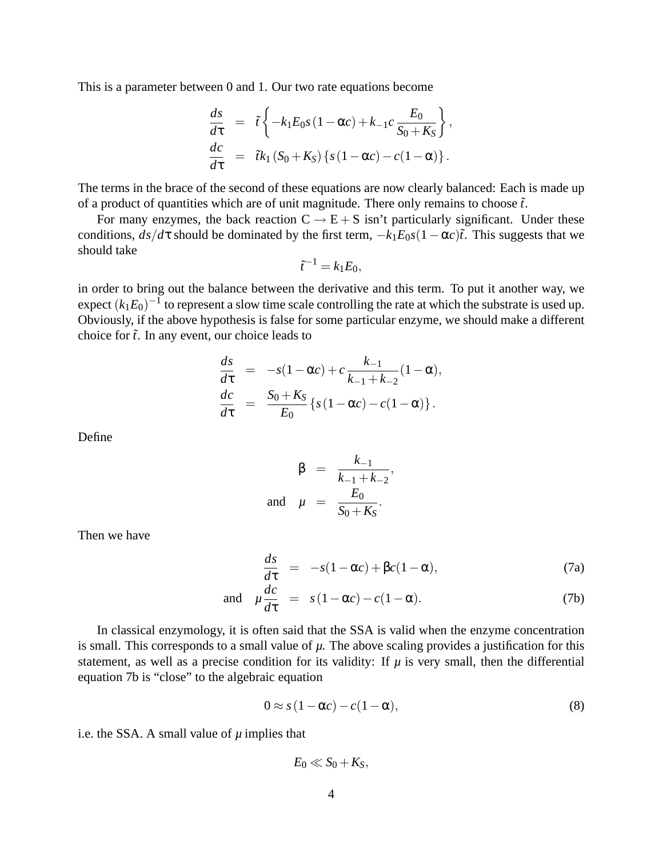This is a parameter between 0 and 1. Our two rate equations become

$$
\frac{ds}{d\tau} = \tilde{t} \left\{ -k_1 E_0 s (1 - \alpha c) + k_{-1} c \frac{E_0}{S_0 + K_S} \right\},
$$
  

$$
\frac{dc}{d\tau} = \tilde{t} k_1 (S_0 + K_S) \left\{ s (1 - \alpha c) - c (1 - \alpha) \right\}.
$$

The terms in the brace of the second of these equations are now clearly balanced: Each is made up of a product of quantities which are of unit magnitude. There only remains to choose  $\tilde{t}$ .

For many enzymes, the back reaction  $C \rightarrow E + S$  isn't particularly significant. Under these conditions,  $ds/d\tau$  should be dominated by the first term,  $-k_1E_0s(1-\alpha c)\tilde{t}$ . This suggests that we should take

$$
\tilde{t}^{-1} = k_1 E_0,
$$

in order to bring out the balance between the derivative and this term. To put it another way, we expect  $(k_1E_0)^{-1}$  to represent a slow time scale controlling the rate at which the substrate is used up. Obviously, if the above hypothesis is false for some particular enzyme, we should make a different choice for  $\tilde{t}$ . In any event, our choice leads to

$$
\frac{ds}{d\tau} = -s(1 - \alpha c) + c \frac{k_{-1}}{k_{-1} + k_{-2}} (1 - \alpha), \n\frac{dc}{d\tau} = \frac{S_0 + K_S}{E_0} \{s(1 - \alpha c) - c(1 - \alpha)\}.
$$

Define

$$
\beta = \frac{k_{-1}}{k_{-1} + k_{-2}},
$$
  
and  $\mu = \frac{E_0}{S_0 + K_S}.$ 

Then we have

$$
\frac{ds}{d\tau} = -s(1-\alpha c) + \beta c(1-\alpha),\tag{7a}
$$

and 
$$
\mu \frac{dc}{d\tau} = s(1 - \alpha c) - c(1 - \alpha).
$$
 (7b)

In classical enzymology, it is often said that the SSA is valid when the enzyme concentration is small. This corresponds to a small value of  $\mu$ . The above scaling provides a justification for this statement, as well as a precise condition for its validity: If  $\mu$  is very small, then the differential equation 7b is "close" to the algebraic equation

$$
0 \approx s(1 - \alpha c) - c(1 - \alpha),\tag{8}
$$

i.e. the SSA. A small value of *µ* implies that

 $E_0 \ll S_0 + K_S$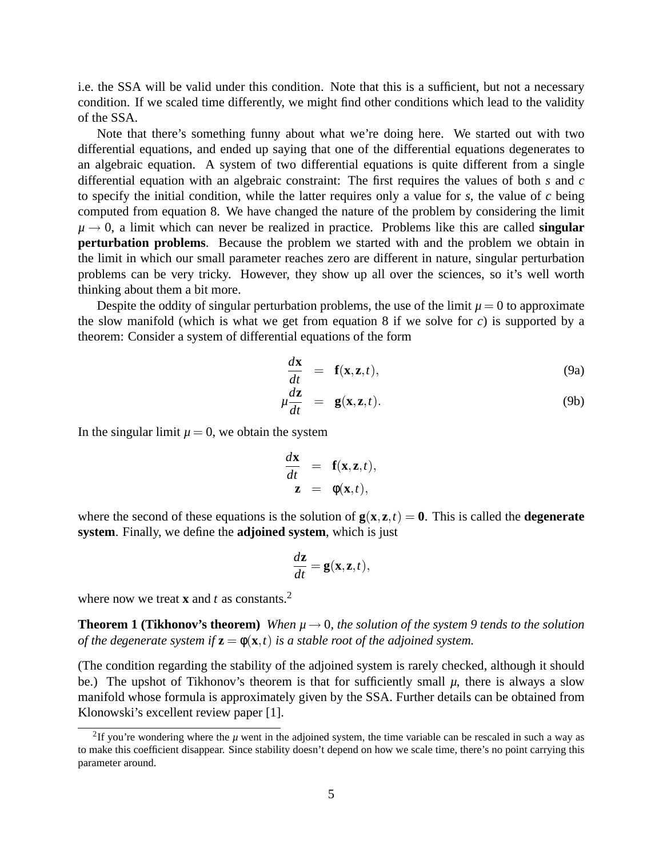i.e. the SSA will be valid under this condition. Note that this is a sufficient, but not a necessary condition. If we scaled time differently, we might find other conditions which lead to the validity of the SSA.

Note that there's something funny about what we're doing here. We started out with two differential equations, and ended up saying that one of the differential equations degenerates to an algebraic equation. A system of two differential equations is quite different from a single differential equation with an algebraic constraint: The first requires the values of both *s* and *c* to specify the initial condition, while the latter requires only a value for *s*, the value of *c* being computed from equation 8. We have changed the nature of the problem by considering the limit  $\mu \rightarrow 0$ , a limit which can never be realized in practice. Problems like this are called **singular perturbation problems**. Because the problem we started with and the problem we obtain in the limit in which our small parameter reaches zero are different in nature, singular perturbation problems can be very tricky. However, they show up all over the sciences, so it's well worth thinking about them a bit more.

Despite the oddity of singular perturbation problems, the use of the limit  $\mu = 0$  to approximate the slow manifold (which is what we get from equation 8 if we solve for *c*) is supported by a theorem: Consider a system of differential equations of the form

$$
\frac{d\mathbf{x}}{dt} = \mathbf{f}(\mathbf{x}, \mathbf{z}, t), \tag{9a}
$$

$$
\mu \frac{d\mathbf{z}}{dt} = \mathbf{g}(\mathbf{x}, \mathbf{z}, t). \tag{9b}
$$

In the singular limit  $\mu = 0$ , we obtain the system

$$
\frac{d\mathbf{x}}{dt} = \mathbf{f}(\mathbf{x}, \mathbf{z}, t),
$$

$$
\mathbf{z} = \phi(\mathbf{x}, t),
$$

where the second of these equations is the solution of  $g(x, z, t) = 0$ . This is called the **degenerate system**. Finally, we define the **adjoined system**, which is just

$$
\frac{d\mathbf{z}}{dt} = \mathbf{g}(\mathbf{x}, \mathbf{z}, t),
$$

where now we treat **x** and *t* as constants.<sup>2</sup>

**Theorem 1 (Tikhonov's theorem)** *When*  $\mu \rightarrow 0$ *, the solution of the system 9 tends to the solution of the degenerate system if*  $z = \phi(x, t)$  *is a stable root of the adjoined system.* 

(The condition regarding the stability of the adjoined system is rarely checked, although it should be.) The upshot of Tikhonov's theorem is that for sufficiently small  $\mu$ , there is always a slow manifold whose formula is approximately given by the SSA. Further details can be obtained from Klonowski's excellent review paper [1].

<sup>&</sup>lt;sup>2</sup>If you're wondering where the  $\mu$  went in the adjoined system, the time variable can be rescaled in such a way as to make this coefficient disappear. Since stability doesn't depend on how we scale time, there's no point carrying this parameter around.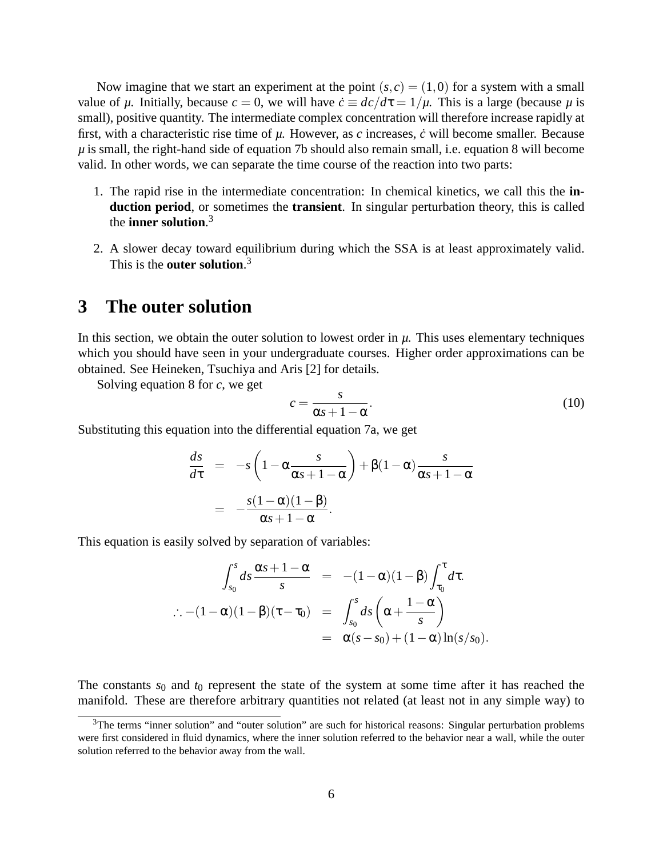Now imagine that we start an experiment at the point  $(s, c) = (1, 0)$  for a system with a small value of  $\mu$ . Initially, because  $c = 0$ , we will have  $\dot{c} \equiv dc/d\tau = 1/\mu$ . This is a large (because  $\mu$  is small), positive quantity. The intermediate complex concentration will therefore increase rapidly at first, with a characteristic rise time of  $\mu$ . However, as  $c$  increases,  $\dot{c}$  will become smaller. Because  $\mu$  is small, the right-hand side of equation 7b should also remain small, i.e. equation 8 will become valid. In other words, we can separate the time course of the reaction into two parts:

- 1. The rapid rise in the intermediate concentration: In chemical kinetics, we call this the **induction period**, or sometimes the **transient**. In singular perturbation theory, this is called the **inner solution**. 3
- 2. A slower decay toward equilibrium during which the SSA is at least approximately valid. This is the **outer solution**. 3

### **3 The outer solution**

In this section, we obtain the outer solution to lowest order in *µ*. This uses elementary techniques which you should have seen in your undergraduate courses. Higher order approximations can be obtained. See Heineken, Tsuchiya and Aris [2] for details.

Solving equation 8 for *c*, we get

$$
c = \frac{s}{\alpha s + 1 - \alpha}.\tag{10}
$$

Substituting this equation into the differential equation 7a, we get

$$
\frac{ds}{d\tau} = -s \left( 1 - \alpha \frac{s}{\alpha s + 1 - \alpha} \right) + \beta (1 - \alpha) \frac{s}{\alpha s + 1 - \alpha}
$$

$$
= -\frac{s(1 - \alpha)(1 - \beta)}{\alpha s + 1 - \alpha}.
$$

This equation is easily solved by separation of variables:

$$
\int_{s_0}^s ds \frac{\alpha s + 1 - \alpha}{s} = -(1 - \alpha)(1 - \beta) \int_{\tau_0}^{\tau} d\tau.
$$
  

$$
\therefore -(1 - \alpha)(1 - \beta)(\tau - \tau_0) = \int_{s_0}^s ds \left( \alpha + \frac{1 - \alpha}{s} \right)
$$

$$
= \alpha(s - s_0) + (1 - \alpha) \ln(s/s_0).
$$

The constants  $s_0$  and  $t_0$  represent the state of the system at some time after it has reached the manifold. These are therefore arbitrary quantities not related (at least not in any simple way) to

 $3$ The terms "inner solution" and "outer solution" are such for historical reasons: Singular perturbation problems were first considered in fluid dynamics, where the inner solution referred to the behavior near a wall, while the outer solution referred to the behavior away from the wall.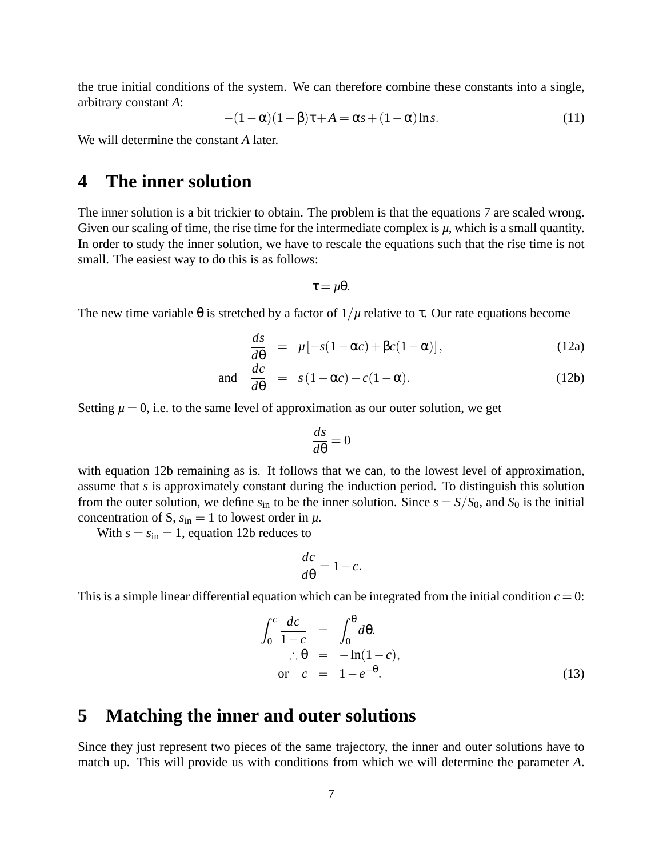the true initial conditions of the system. We can therefore combine these constants into a single, arbitrary constant *A*:

$$
-(1 - \alpha)(1 - \beta)\tau + A = \alpha s + (1 - \alpha)\ln s.
$$
 (11)

We will determine the constant *A* later.

#### **4 The inner solution**

The inner solution is a bit trickier to obtain. The problem is that the equations 7 are scaled wrong. Given our scaling of time, the rise time for the intermediate complex is  $\mu$ , which is a small quantity. In order to study the inner solution, we have to rescale the equations such that the rise time is not small. The easiest way to do this is as follows:

$$
\tau = \mu \theta.
$$

The new time variable  $\theta$  is stretched by a factor of  $1/\mu$  relative to  $\tau$ . Our rate equations become

$$
\frac{ds}{d\theta} = \mu[-s(1-\alpha c) + \beta c(1-\alpha)], \qquad (12a)
$$

and 
$$
\frac{dc}{d\theta} = s(1 - \alpha c) - c(1 - \alpha).
$$
 (12b)

Setting  $\mu = 0$ , i.e. to the same level of approximation as our outer solution, we get

$$
\frac{ds}{d\theta} = 0
$$

with equation 12b remaining as is. It follows that we can, to the lowest level of approximation, assume that *s* is approximately constant during the induction period. To distinguish this solution from the outer solution, we define  $s_{\text{in}}$  to be the inner solution. Since  $s = S/S_0$ , and  $S_0$  is the initial concentration of S,  $s_{in} = 1$  to lowest order in  $\mu$ .

With  $s = s_{\text{in}} = 1$ , equation 12b reduces to

$$
\frac{dc}{d\theta} = 1 - c.
$$

This is a simple linear differential equation which can be integrated from the initial condition  $c = 0$ :

$$
\int_0^c \frac{dc}{1-c} = \int_0^{\theta} d\theta.
$$
  
\n
$$
\therefore \theta = -\ln(1-c),
$$
  
\nor  $c = 1 - e^{-\theta}.$  (13)

### **5 Matching the inner and outer solutions**

Since they just represent two pieces of the same trajectory, the inner and outer solutions have to match up. This will provide us with conditions from which we will determine the parameter *A*.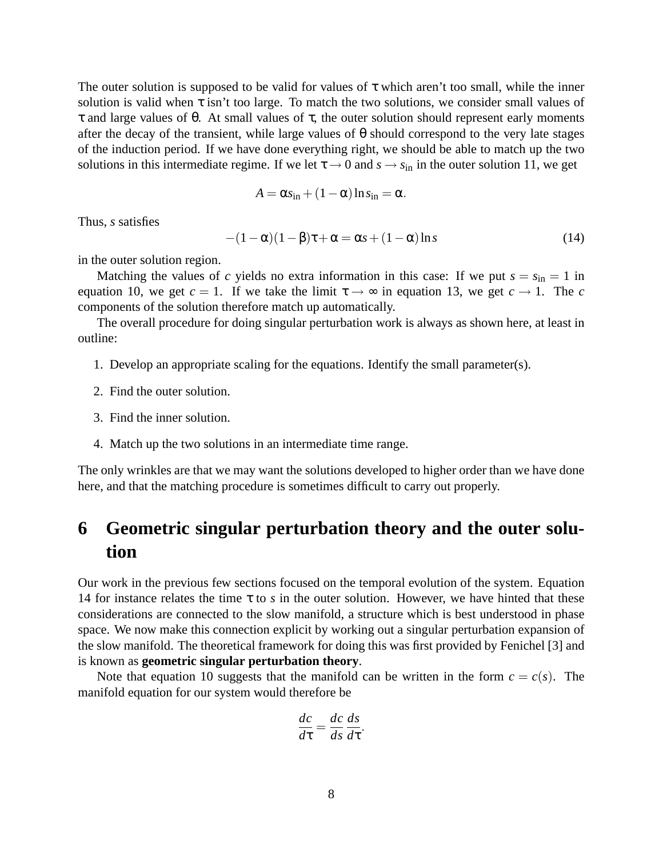The outer solution is supposed to be valid for values of  $\tau$  which aren't too small, while the inner solution is valid when  $\tau$  isn't too large. To match the two solutions, we consider small values of τ and large values of θ. At small values of τ, the outer solution should represent early moments after the decay of the transient, while large values of  $\theta$  should correspond to the very late stages of the induction period. If we have done everything right, we should be able to match up the two solutions in this intermediate regime. If we let  $\tau \rightarrow 0$  and  $s \rightarrow s_{in}$  in the outer solution 11, we get

$$
A = \alpha s_{\rm in} + (1 - \alpha) \ln s_{\rm in} = \alpha.
$$

Thus, *s* satisfies

$$
-(1 - \alpha)(1 - \beta)\tau + \alpha = \alpha s + (1 - \alpha)\ln s \tag{14}
$$

in the outer solution region.

Matching the values of *c* yields no extra information in this case: If we put  $s = s_{in} = 1$  in equation 10, we get  $c = 1$ . If we take the limit  $\tau \rightarrow \infty$  in equation 13, we get  $c \rightarrow 1$ . The *c* components of the solution therefore match up automatically.

The overall procedure for doing singular perturbation work is always as shown here, at least in outline:

- 1. Develop an appropriate scaling for the equations. Identify the small parameter(s).
- 2. Find the outer solution.
- 3. Find the inner solution.
- 4. Match up the two solutions in an intermediate time range.

The only wrinkles are that we may want the solutions developed to higher order than we have done here, and that the matching procedure is sometimes difficult to carry out properly.

## **6 Geometric singular perturbation theory and the outer solution**

Our work in the previous few sections focused on the temporal evolution of the system. Equation 14 for instance relates the time  $\tau$  to *s* in the outer solution. However, we have hinted that these considerations are connected to the slow manifold, a structure which is best understood in phase space. We now make this connection explicit by working out a singular perturbation expansion of the slow manifold. The theoretical framework for doing this was first provided by Fenichel [3] and is known as **geometric singular perturbation theory**.

Note that equation 10 suggests that the manifold can be written in the form  $c = c(s)$ . The manifold equation for our system would therefore be

$$
\frac{dc}{d\tau} = \frac{dc}{ds}\frac{ds}{d\tau}.
$$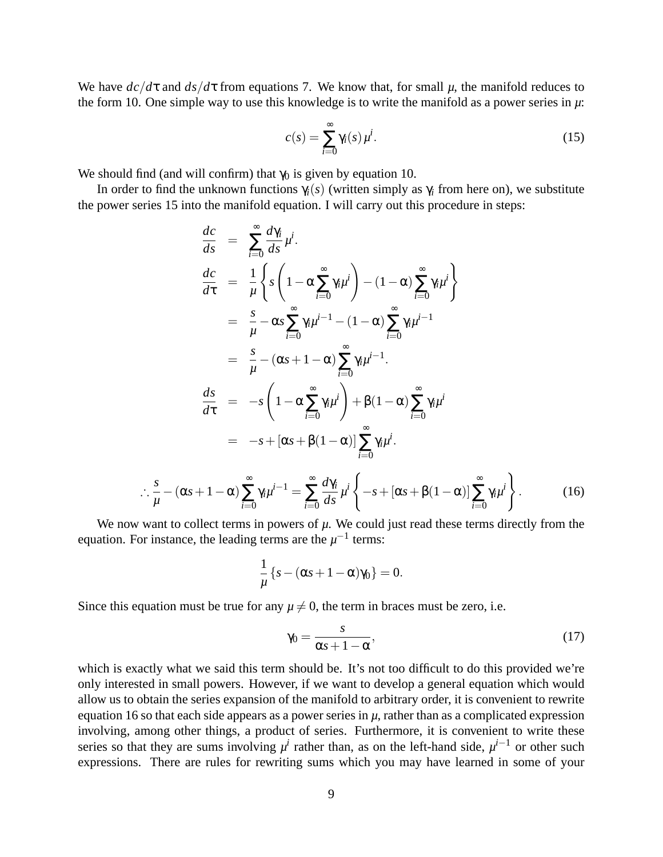We have  $dc/d\tau$  and  $ds/d\tau$  from equations 7. We know that, for small  $\mu$ , the manifold reduces to the form 10. One simple way to use this knowledge is to write the manifold as a power series in *µ*:

$$
c(s) = \sum_{i=0}^{\infty} \gamma_i(s) \mu^i.
$$
 (15)

We should find (and will confirm) that  $\gamma_0$  is given by equation 10.

∴ *s µ*

In order to find the unknown functions  $\gamma_i(s)$  (written simply as  $\gamma_i$  from here on), we substitute the power series 15 into the manifold equation. I will carry out this procedure in steps:

$$
\frac{dc}{ds} = \sum_{i=0}^{\infty} \frac{d\gamma_i}{ds} \mu^i.
$$
\n
$$
\frac{dc}{d\tau} = \frac{1}{\mu} \left\{ s \left( 1 - \alpha \sum_{i=0}^{\infty} \gamma_i \mu^i \right) - (1 - \alpha) \sum_{i=0}^{\infty} \gamma_i \mu^i \right\}
$$
\n
$$
= \frac{s}{\mu} - \alpha s \sum_{i=0}^{\infty} \gamma_i \mu^{i-1} - (1 - \alpha) \sum_{i=0}^{\infty} \gamma_i \mu^{i-1}
$$
\n
$$
= \frac{s}{\mu} - (\alpha s + 1 - \alpha) \sum_{i=0}^{\infty} \gamma_i \mu^{i-1}.
$$
\n
$$
\frac{ds}{d\tau} = -s \left( 1 - \alpha \sum_{i=0}^{\infty} \gamma_i \mu^i \right) + \beta (1 - \alpha) \sum_{i=0}^{\infty} \gamma_i \mu^i
$$
\n
$$
= -s + [\alpha s + \beta (1 - \alpha)] \sum_{i=0}^{\infty} \gamma_i \mu^i.
$$
\n
$$
-(\alpha s + 1 - \alpha) \sum_{i=0}^{\infty} \gamma_i \mu^{i-1} = \sum_{i=0}^{\infty} \frac{d\gamma_i}{ds} \mu^i \left\{ -s + [\alpha s + \beta (1 - \alpha)] \sum_{i=0}^{\infty} \gamma_i \mu^i \right\}.
$$
\n(16)

We now want to collect terms in powers of  $\mu$ . We could just read these terms directly from the equation. For instance, the leading terms are the  $\mu^{-1}$  terms:

$$
\frac{1}{\mu}\left\{s-(\alpha s+1-\alpha)\gamma_0\right\}=0.
$$

Since this equation must be true for any  $\mu \neq 0$ , the term in braces must be zero, i.e.

$$
\gamma_0 = \frac{s}{\alpha s + 1 - \alpha},\tag{17}
$$

which is exactly what we said this term should be. It's not too difficult to do this provided we're only interested in small powers. However, if we want to develop a general equation which would allow us to obtain the series expansion of the manifold to arbitrary order, it is convenient to rewrite equation 16 so that each side appears as a power series in  $\mu$ , rather than as a complicated expression involving, among other things, a product of series. Furthermore, it is convenient to write these series so that they are sums involving  $\mu^i$  rather than, as on the left-hand side,  $\mu^{i-1}$  or other such expressions. There are rules for rewriting sums which you may have learned in some of your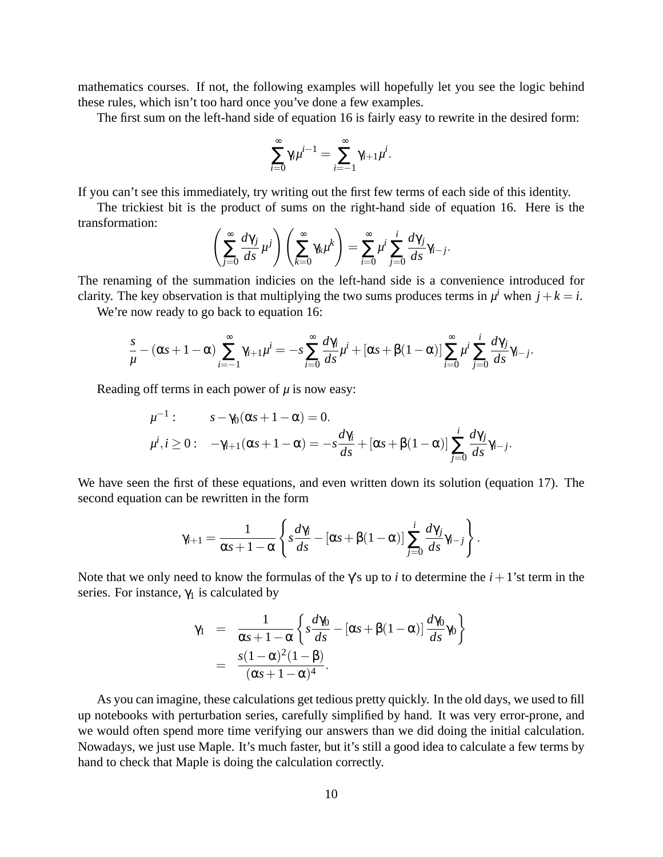mathematics courses. If not, the following examples will hopefully let you see the logic behind these rules, which isn't too hard once you've done a few examples.

The first sum on the left-hand side of equation 16 is fairly easy to rewrite in the desired form:

$$
\sum_{i=0}^{\infty} \gamma_i \mu^{i-1} = \sum_{i=-1}^{\infty} \gamma_{i+1} \mu^i.
$$

∞

If you can't see this immediately, try writing out the first few terms of each side of this identity.

The trickiest bit is the product of sums on the right-hand side of equation 16. Here is the transformation:

$$
\left(\sum_{j=0}^{\infty}\frac{d\gamma_j}{ds}\mu^j\right)\left(\sum_{k=0}^{\infty}\gamma_k\mu^k\right)=\sum_{i=0}^{\infty}\mu^i\sum_{j=0}^i\frac{d\gamma_j}{ds}\gamma_{i-j}.
$$

The renaming of the summation indicies on the left-hand side is a convenience introduced for clarity. The key observation is that multiplying the two sums produces terms in  $\mu^i$  when  $j + k = i$ .

We're now ready to go back to equation 16:

$$
\frac{s}{\mu} - (\alpha s + 1 - \alpha) \sum_{i=-1}^{\infty} \gamma_{i+1} \mu^{i} = -s \sum_{i=0}^{\infty} \frac{d \gamma_i}{ds} \mu^{i} + [\alpha s + \beta (1 - \alpha)] \sum_{i=0}^{\infty} \mu^{i} \sum_{j=0}^{i} \frac{d \gamma_j}{ds} \gamma_{i-j}.
$$

Reading off terms in each power of  $\mu$  is now easy:

$$
\mu^{-1}: \qquad s - \gamma_0(\alpha s + 1 - \alpha) = 0.
$$
  

$$
\mu^i, i \ge 0: \quad -\gamma_{i+1}(\alpha s + 1 - \alpha) = -s \frac{d\gamma_i}{ds} + [\alpha s + \beta(1 - \alpha)] \sum_{j=0}^i \frac{d\gamma_j}{ds} \gamma_{i-j}.
$$

We have seen the first of these equations, and even written down its solution (equation 17). The second equation can be rewritten in the form

$$
\gamma_{i+1} = \frac{1}{\alpha s + 1 - \alpha} \left\{ s \frac{d \gamma_i}{ds} - [\alpha s + \beta (1 - \alpha)] \sum_{j=0}^i \frac{d \gamma_j}{ds} \gamma_{i-j} \right\}.
$$

Note that we only need to know the formulas of the  $\gamma$ 's up to *i* to determine the *i* + 1'st term in the series. For instance,  $\gamma_1$  is calculated by

$$
\gamma_1 = \frac{1}{\alpha s + 1 - \alpha} \left\{ s \frac{d \gamma_0}{ds} - [\alpha s + \beta (1 - \alpha)] \frac{d \gamma_0}{ds} \gamma_0 \right\}
$$
  
= 
$$
\frac{s(1 - \alpha)^2 (1 - \beta)}{(\alpha s + 1 - \alpha)^4}.
$$

As you can imagine, these calculations get tedious pretty quickly. In the old days, we used to fill up notebooks with perturbation series, carefully simplified by hand. It was very error-prone, and we would often spend more time verifying our answers than we did doing the initial calculation. Nowadays, we just use Maple. It's much faster, but it's still a good idea to calculate a few terms by hand to check that Maple is doing the calculation correctly.